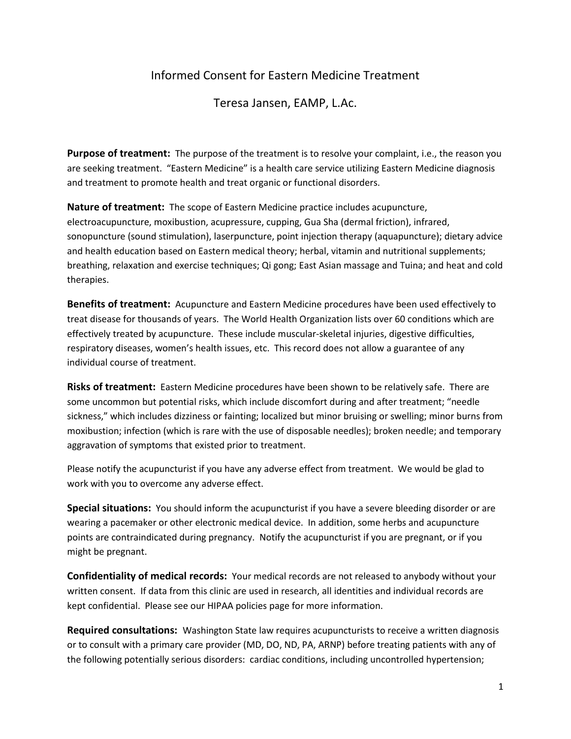## Informed Consent for Eastern Medicine Treatment

Teresa Jansen, EAMP, L.Ac.

**Purpose of treatment:** The purpose of the treatment is to resolve your complaint, i.e., the reason you are seeking treatment. "Eastern Medicine" is a health care service utilizing Eastern Medicine diagnosis and treatment to promote health and treat organic or functional disorders.

**Nature of treatment:** The scope of Eastern Medicine practice includes acupuncture, electroacupuncture, moxibustion, acupressure, cupping, Gua Sha (dermal friction), infrared, sonopuncture (sound stimulation), laserpuncture, point injection therapy (aquapuncture); dietary advice and health education based on Eastern medical theory; herbal, vitamin and nutritional supplements; breathing, relaxation and exercise techniques; Qi gong; East Asian massage and Tuina; and heat and cold therapies.

**Benefits of treatment:** Acupuncture and Eastern Medicine procedures have been used effectively to treat disease for thousands of years. The World Health Organization lists over 60 conditions which are effectively treated by acupuncture. These include muscular-skeletal injuries, digestive difficulties, respiratory diseases, women's health issues, etc. This record does not allow a guarantee of any individual course of treatment.

**Risks of treatment:** Eastern Medicine procedures have been shown to be relatively safe. There are some uncommon but potential risks, which include discomfort during and after treatment; "needle sickness," which includes dizziness or fainting; localized but minor bruising or swelling; minor burns from moxibustion; infection (which is rare with the use of disposable needles); broken needle; and temporary aggravation of symptoms that existed prior to treatment.

Please notify the acupuncturist if you have any adverse effect from treatment. We would be glad to work with you to overcome any adverse effect.

**Special situations:** You should inform the acupuncturist if you have a severe bleeding disorder or are wearing a pacemaker or other electronic medical device. In addition, some herbs and acupuncture points are contraindicated during pregnancy. Notify the acupuncturist if you are pregnant, or if you might be pregnant.

**Confidentiality of medical records:** Your medical records are not released to anybody without your written consent. If data from this clinic are used in research, all identities and individual records are kept confidential. Please see our HIPAA policies page for more information.

**Required consultations:** Washington State law requires acupuncturists to receive a written diagnosis or to consult with a primary care provider (MD, DO, ND, PA, ARNP) before treating patients with any of the following potentially serious disorders: cardiac conditions, including uncontrolled hypertension;